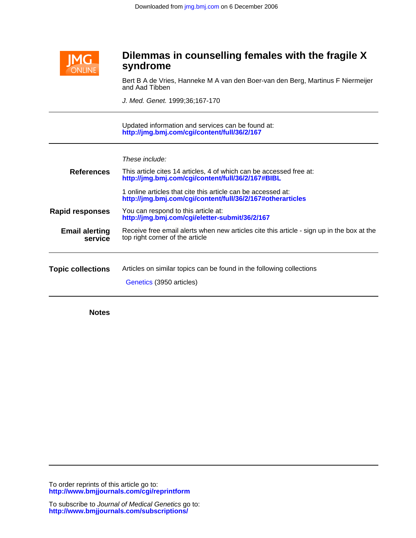

## **syndrome Dilemmas in counselling females with the fragile X**

and Aad Tibben Bert B A de Vries, Hanneke M A van den Boer-van den Berg, Martinus F Niermeijer

J. Med. Genet. 1999;36;167-170

**<http://jmg.bmj.com/cgi/content/full/36/2/167>** Updated information and services can be found at:

These include:

| <b>References</b>                | This article cites 14 articles, 4 of which can be accessed free at:<br>http://jmg.bmj.com/cgi/content/full/36/2/167#BIBL     |
|----------------------------------|------------------------------------------------------------------------------------------------------------------------------|
|                                  | 1 online articles that cite this article can be accessed at:<br>http://jmg.bmj.com/cgi/content/full/36/2/167#otherarticles   |
| <b>Rapid responses</b>           | You can respond to this article at:<br>http://jmg.bmj.com/cgi/eletter-submit/36/2/167                                        |
| <b>Email alerting</b><br>service | Receive free email alerts when new articles cite this article - sign up in the box at the<br>top right corner of the article |
| <b>Topic collections</b>         | Articles on similar topics can be found in the following collections<br>Genetics (3950 articles)                             |

**Notes**

**<http://www.bmjjournals.com/cgi/reprintform>** To order reprints of this article go to: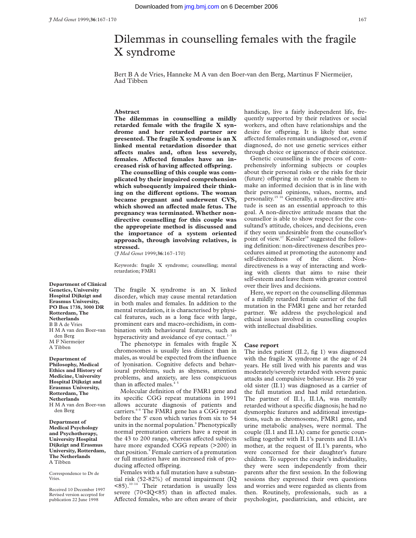# Dilemmas in counselling females with the fragile X syndrome

Bert B A de Vries, Hanneke M A van den Boer-van den Berg, Martinus F Niermeijer, Aad Tibben

#### **Abstract**

**The dilemmas in counselling a mildly retarded female with the fragile X syndrome and her retarded partner are presented. The fragile X syndrome is an X linked mental retardation disorder that** affects males and, often less severely, females. Affected females have an in**creased risk of having aVected oVspring.**

**The counselling of this couple was complicated by their impaired comprehension which subsequently impaired their think**ing on the different options. The woman **became pregnant and underwent CVS,** which showed an affected male fetus. The **pregnancy was terminated. Whether nondirective counselling for this couple was the appropriate method is discussed and the importance of a system oriented approach, through involving relatives, is stressed.**

(*J Med Genet* 1999;**36**:167–170)

Keywords: fragile X syndrome; counselling; mental retardation; FMR1

**Department of Clinical Genetics, University Hospital Dijkzigt and Erasmus University, PO Box 1738, 3000 DR Rotterdam, The Netherlands** B B A de Vries H M A van den Boer-van den Berg M F Niermeijer A Tibben

**Department of Philosophy, Medical Ethics and History of Medicine, University Hospital Dijkzigt and Erasmus University, Rotterdam, The Netherlands** H M A van den Boer-van den Berg

**Department of Medical Psychology and Psychotherapy, University Hospital Dijkzigt and Erasmus University, Rotterdam, The Netherlands** A Tibben

Correspondence to Dr de Vries.

Received 10 December 1997 Revised version accepted for publication 22 June 1998

The fragile X syndrome is an X linked disorder, which may cause mental retardation in both males and females. In addition to the mental retardation, it is characterised by physical features, such as a long face with large, prominent ears and macro-orchidism, in combination with behavioural features, such as hyperactivity and avoidance of eye contact. $<sup>1</sup>$ </sup>

The phenotype in females with fragile X chromosomes is usually less distinct than in males, as would be expected from the influence of lyonisation. Cognitive defects and behavioural problems, such as shyness, attention problems, and anxiety, are less conspicuous than in affected males.<sup>4</sup>

Molecular definition of the FMR1 gene and its specific CGG repeat mutations in 1991 allows accurate diagnosis of patients and carriers. $6-8$  The FMR1 gene has a CGG repeat before the 5' exon which varies from six to 54 units in the normal population.<sup>9</sup> Phenotypically normal premutation carriers have a repeat in the 43 to 200 range, whereas affected subjects have more expanded CGG repeats (>200) in that position.<sup>9</sup> Female carriers of a premutation or full mutation have an increased risk of producing affected offspring.

Females with a full mutation have a substantial risk (52-82%) of mental impairment (IQ  $\leq$ 85).<sup>10–14</sup> Their retardation is usually less severe  $(70<$ IQ $<$ 85) than in affected males. Affected females, who are often aware of their

handicap, live a fairly independent life, frequently supported by their relatives or social workers, and often have relationships and the desire for offspring. It is likely that some affected females remain undiagnosed or, even if diagnosed, do not use genetic services either through choice or ignorance of their existence.

Genetic counselling is the process of comprehensively informing subjects or couples about their personal risks or the risks for their (future) offspring in order to enable them to make an informed decision that is in line with their personal opinions, values, norms, and personality.15 16 Generally, a non-directive attitude is seen as an essential approach to this goal. A non-directive attitude means that the counsellor is able to show respect for the consultand's attitude, choices, and decisions, even if they seem undesirable from the counsellor's point of view.<sup>17</sup> Kessler<sup>18</sup> suggested the following definition: non-directiveness describes procedures aimed at promoting the autonomy and self-directedness of the client. Nondirectiveness is a way of interacting and working with clients that aims to raise their self-esteem and leave them with greater control over their lives and decisions.

Here, we report on the counselling dilemmas of a mildly retarded female carrier of the full mutation in the FMR1 gene and her retarded partner. We address the psychological and ethical issues involved in counselling couples with intellectual disabilities.

#### **Case report**

The index patient (II.2, fig 1) was diagnosed with the fragile X syndrome at the age of 24 years. He still lived with his parents and was moderately/severely retarded with severe panic attacks and compulsive behaviour. His 26 year old sister (II.1) was diagnosed as a carrier of the full mutation and had mild retardation. The partner of II.1, II.1A, was mentally retarded without a specific diagnosis; he had no dysmorphic features and additional investigations, such as chromosome, FMR1 gene, and urine metabolic analyses, were normal. The couple (II.1 and II.1A) came for genetic counselling together with II.1's parents and II.1A's mother, at the request of II.1's parents, who were concerned for their daughter's future children. To support the couple's individuality, they were seen independently from their parents after the first session. In the following sessions they expressed their own questions and worries and were regarded as clients from then. Routinely, professionals, such as a psychologist, paediatrician, and ethicist, are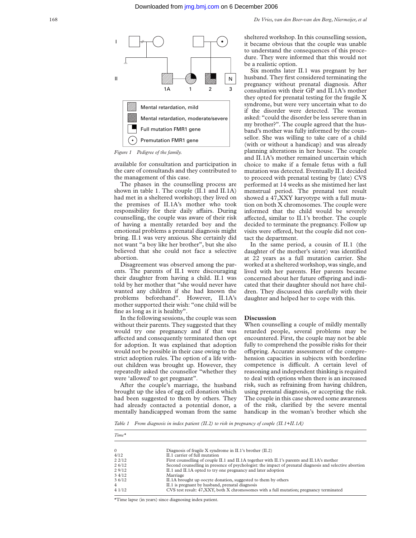

*Figure 1 Pedigree of the family.*

available for consultation and participation in the care of consultands and they contributed to the management of this case.

The phases in the counselling process are shown in table 1. The couple (II.1 and II.1A) had met in a sheltered workshop; they lived on the premises of II.1A's mother who took responsibility for their daily affairs. During counselling, the couple was aware of their risk of having a mentally retarded boy and the emotional problems a prenatal diagnosis might bring. II.1 was very anxious. She certainly did not want "a boy like her brother", but she also believed that she could not face a selective abortion.

Disagreement was observed among the parents. The parents of II.1 were discouraging their daughter from having a child. II.1 was told by her mother that "she would never have wanted any children if she had known the problems beforehand". However, II.1A's mother supported their wish: "one child will be fine as long as it is healthy".

In the following sessions, the couple was seen without their parents. They suggested that they would try one pregnancy and if that was affected and consequently terminated then opt for adoption. It was explained that adoption would not be possible in their case owing to the strict adoption rules. The option of a life without children was brought up. However, they repeatedly asked the counsellor "whether they were 'allowed' to get pregnant".

After the couple's marriage, the husband brought up the idea of egg cell donation which had been suggested to them by others. They had already contacted a potential donor, a mentally handicapped woman from the same sheltered workshop. In this counselling session, it became obvious that the couple was unable to understand the consequences of this procedure. They were informed that this would not be a realistic option.

Six months later II.1 was pregnant by her husband. They first considered terminating the pregnancy without prenatal diagnosis. After consultation with their GP and II.1A's mother they opted for prenatal testing for the fragile X syndrome, but were very uncertain what to do if the disorder were detected. The woman asked: "could the disorder be less severe than in my brother?". The couple agreed that the husband's mother was fully informed by the counsellor. She was willing to take care of a child (with or without a handicap) and was already planning alterations in her house. The couple and II.1A's mother remained uncertain which choice to make if a female fetus with a full mutation was detected. Eventually II.1 decided to proceed with prenatal testing by (late) CVS performed at 14 weeks as she mistimed her last menstrual period. The prenatal test result showed a 47,XXY karyotype with a full mutation on both X chromosomes. The couple were informed that the child would be severely affected, similar to II.1's brother. The couple decided to terminate the pregnancy. Follow up visits were offered, but the couple did not contact the department.

In the same period, a cousin of II.1 (the daughter of the mother's sister) was identified at 22 years as a full mutation carrier. She worked at a sheltered workshop, was single, and lived with her parents. Her parents became concerned about her future offspring and indicated that their daughter should not have children. They discussed this carefully with their daughter and helped her to cope with this.

### **Discussion**

When counselling a couple of mildly mentally retarded people, several problems may be encountered. First, the couple may not be able fully to comprehend the possible risks for their offspring. Accurate assessment of the comprehension capacities in subjects with borderline competence is difficult. A certain level of reasoning and independent thinking is required to deal with options when there is an increased risk, such as refraining from having children, using prenatal diagnosis, or accepting the risk. The couple in this case showed some awareness of the risk, clarified by the severe mental handicap in the woman's brother which she

*Table 1 From diagnosis in index patient (II.2) to risk in pregnancy of couple (II.1+II.1A)*

| 0      | Diagnosis of fragile X syndrome in II.1's brother (II.2)                                                |
|--------|---------------------------------------------------------------------------------------------------------|
| 4/12   | II.1 carrier of full mutation                                                                           |
| 22/12  | First counselling of couple II.1 and II.1A together with II.1's parents and II.1A's mother              |
| 2.6/12 | Second counselling in presence of psychologist: the impact of prenatal diagnosis and selective abortion |
| 29/12  | II.1 and II.1A opted to try one pregnancy and later adoption                                            |
| 34/12  | Marriage                                                                                                |
| 3.6/12 | II.1A brought up oocyte donation, suggested to them by others                                           |
| 4      | II.1 is pregnant by husband, prenatal diagnosis                                                         |
| 41/12  | CVS test result: 47, XXY, both X chromosomes with a full mutation; pregnancy terminated                 |

\*Time lapse (in years) since diagnosing index patient.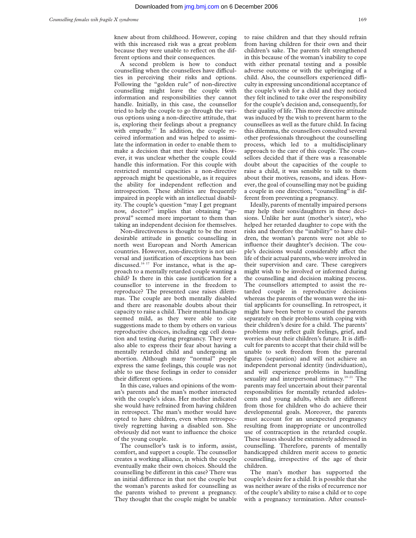knew about from childhood. However, coping with this increased risk was a great problem because they were unable to reflect on the different options and their consequences.

A second problem is how to conduct counselling when the counsellees have difficulties in perceiving their risks and options. Following the "golden rule" of non-directive counselling might leave the couple with information and responsibilities they cannot handle. Initially, in this case, the counsellor tried to help the couple to go through the various options using a non-directive attitude, that is, exploring their feelings about a pregnancy with empathy.<sup>17</sup> In addition, the couple received information and was helped to assimilate the information in order to enable them to make a decision that met their wishes. However, it was unclear whether the couple could handle this information. For this couple with restricted mental capacities a non-directive approach might be questionable, as it requires the ability for independent reflection and introspection. These abilities are frequently impaired in people with an intellectual disability. The couple's question "may I get pregnant now, doctor?" implies that obtaining "approval" seemed more important to them than taking an independent decision for themselves.

Non-directiveness is thought to be the most desirable attitude in genetic counselling in north west European and North American countries. However, non-directivity is not universal and justification of exceptions has been discussed.<sup>16 17</sup> For instance, what is the approach to a mentally retarded couple wanting a child? Is there in this case justification for a counsellor to intervene in the freedom to reproduce? The presented case raises dilemmas. The couple are both mentally disabled and there are reasonable doubts about their capacity to raise a child. Their mental handicap seemed mild, as they were able to cite suggestions made to them by others on various reproductive choices, including egg cell donation and testing during pregnancy. They were also able to express their fear about having a mentally retarded child and undergoing an abortion. Although many "normal" people express the same feelings, this couple was not able to use these feelings in order to consider their different options.

In this case, values and opinions of the woman's parents and the man's mother interacted with the couple's ideas. Her mother indicated she would have refrained from having children in retrospect. The man's mother would have opted to have children, even when retrospectively regretting having a disabled son. She obviously did not want to influence the choice of the young couple.

The counsellor's task is to inform, assist, comfort, and support a couple. The counsellor creates a working alliance, in which the couple eventually make their own choices. Should the counselling be different in this case? There was an initial difference in that not the couple but the woman's parents asked for counselling as the parents wished to prevent a pregnancy. They thought that the couple might be unable

to raise children and that they should refrain from having children for their own and their children's sake. The parents felt strengthened in this because of the woman's inability to cope with either prenatal testing and a possible adverse outcome or with the upbringing of a child. Also, the counsellors experienced difficulty in expressing unconditional acceptance of the couple's wish for a child and they noticed they felt inclined to take over the responsibility for the couple's decision and, consequently, for their quality of life. This more directive attitude was induced by the wish to prevent harm to the counsellees as well as the future child. In facing this dilemma, the counsellors consulted several other professionals throughout the counselling process, which led to a multidisciplinary approach to the care of this couple. The counsellors decided that if there was a reasonable doubt about the capacities of the couple to raise a child, it was sensible to talk to them about their motives, reasons, and ideas. However, the goal of counselling may not be guiding a couple in one direction; "counselling" is different from preventing a pregnancy.

Ideally, parents of mentally impaired persons may help their sons/daughters in these decisions. Unlike her aunt (mother's sister), who helped her retarded daughter to cope with the risks and therefore the "inability" to have children, the woman's parents were not able to influence their daughter's decision. The couple's decisions would considerably affect the life of their actual parents, who were involved in their supervision and care. These caregivers might wish to be involved or informed during the counselling and decision making process. The counsellors attempted to assist the retarded couple in reproductive decisions whereas the parents of the woman were the initial applicants for counselling. In retrospect, it might have been better to counsel the parents separately on their problems with coping with their children's desire for a child. The parents' problems may reflect guilt feelings, grief, and worries about their children's future. It is difficult for parents to accept that their child will be unable to seek freedom from the parental figures (separation) and will not achieve an independent personal identity (individuation), and will experience problems in handling sexuality and interpersonal intimacy.<sup>19–21</sup> The parents may feel uncertain about their parental responsibilities for mentally retarded adolescents and young adults, which are different from those for children who do achieve their developmental goals. Moreover, the parents must account for an unexpected pregnancy resulting from inappropriate or uncontrolled use of contraception in the retarded couple. These issues should be extensively addressed in counselling. Therefore, parents of mentally handicapped children merit access to genetic counselling, irrespective of the age of their children.

The man's mother has supported the couple's desire for a child. It is possible that she was neither aware of the risks of recurrence nor of the couple's ability to raise a child or to cope with a pregnancy termination. After counsel